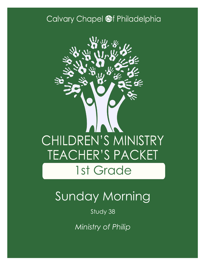### Calvary Chapel @f Philadelphia



# Sunday Morning

Study 38

*Ministry of Philip*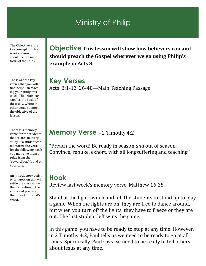### Ministry of Philip

The Objective is the key concept for this weeks lesson. It should be the main focus of the study

These are the key verses that you will find helpful in teaching your study this week. The "Main passage" is the basis of the study, where the other verse support the objective of the lesson.

There is a memory verse for the students that relates to every study. If a student can memorize the verse for the following week you may give them a prize from the "reward box" found on your cart.

An introductory activity or question that will settle the class, draw their attention to the study and prepare their hearts for God's Word.

**Objective This lesson will show how believers can and should preach the Gospel wherever we go using Philip's example in Acts 8.**

**Key Verses** Acts 8:1-13, 26-40—Main Teaching Passage

#### **Memory Verse** - 2 Timothy 4:2

"Preach the word! Be ready in season *and* out of season. Convince, rebuke, exhort, with all longsuffering and teaching."

#### **Hook**

Review last week's memory verse, Matthew 16:25.

Stand at the light switch and tell the students to stand up to play a game. When the lights are on, they are free to dance around, but when you turn off the lights, they have to freeze or they are out. The last student left wins the game.

In this game, you have to be ready to stop at any time. However, in 2 Timothy 4:2, Paul tells us we need to be ready to go at all times. Specifically, Paul says we need to be ready to tell others about Jesus at any time.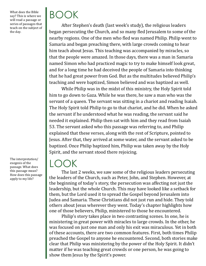What does the Bible say? This is where we will read a passage or series of passages that teach on the subject of the day.

The interpretation/ exegesis of the passage. What does this passage mean? How does this passage apply to my life?

# BOOK

After Stephen's death (last week's study), the religious leaders began persecuting the Church, and so many fled Jerusalem to some of the nearby regions. One of the men who fled was named Philip. Philip went to Samaria and began preaching there, with large crowds coming to hear him teach about Jesus. This teaching was accompanied by miracles, so that the people were amazed. In those days, there was a man in Samaria named Simon who had practiced magic to try to make himself look great, and for a long time he had deceived the people of Samaria into thinking that he had great power from God. But as the multitudes believed Philip's teaching and were baptized, Simon believed and was baptized as well.

While Philip was in the midst of this ministry, the Holy Spirit told him to go down to Gaza. While he was there, he saw a man who was the servant of a queen. The servant was sitting in a chariot and reading Isaiah. The Holy Spirit told Philip to go to that chariot, and he did. When he asked the servant if he understood what he was reading, the servant said he needed it explained. Philip then sat with him and they read from Isaiah 53. The servant asked who this passage was referring to, and Philip explained that these verses, along with the rest of Scripture, pointed to Jesus. After that, they arrived at some water, and the servant asked to be baptized. Once Philip baptized him, Philip was taken away by the Holy Spirit, and the servant stood there rejoicing.

### LOOK

The last 2 weeks, we saw some of the religious leaders persecuting the leaders of the Church, such as Peter, John, and Stephen. However, at the beginning of today's story, the persecution was affecting not just the leadership, but the whole Church. This may have looked like a setback for them, but the Lord used it to spread the Gospel beyond Jerusalem into Judea and Samaria. These Christians did not just run and hide. They told others about Jesus wherever they went. Today's chapter highlights how one of those believers, Philip, ministered to those he encountered.

Philip's story takes place in two contrasting scenes. In one, he is ministering in great power with miracles to large crowds. In the other, he was focused on just one man and only his exit was miraculous. Yet in both of these accounts, there are two common features. First, both times Philip preached the Gospel to anyone he encountered. Second, both stories make clear that Philip was ministering by the power of the Holy Spirit. It didn't matter if he was teaching great crowds or one person, he was going to show them Jesus by the Spirit's power.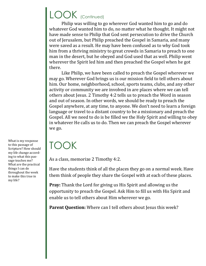### LOOK (Continued)

Philip was willing to go wherever God wanted him to go and do whatever God wanted him to do, no matter what he thought. It might not have made sense to Philip that God sent persecution to drive the Church out of Jerusalem, but Philip preached the Gospel in Samaria, and many were saved as a result. He may have been confused as to why God took him from a thriving ministry to great crowds in Samaria to preach to one man in the desert, but he obeyed and God used that as well. Philip went wherever the Spirit led him and then preached the Gospel when he got there.

Like Philip, we have been called to preach the Gospel wherever we may go. Wherever God brings us is our mission field to tell others about him. Our home, neighborhood, school, sports teams, clubs, and any other activity or community we are involved in are places where we can tell others about Jesus. 2 Timothy 4:2 tells us to preach the Word in season and out of season. In other words, we should be ready to preach the Gospel anywhere, at any time, to anyone. We don't need to learn a foreign language or travel to a distant country to be a missionary and preach the Gospel. All we need to do is be filled we the Holy Spirit and willing to obey in whatever He calls us to do. Then we can preach the Gospel wherever we go.

### TOOK

As a class, memorize 2 Timothy 4:2.

Have the students think of all the places they go on a normal week. Have them think of people they share the Gospel with at each of these places.

**Pray:** Thank the Lord for giving us His Spirit and allowing us the opportunity to preach the Gospel. Ask Him to fill us with His Spirit and enable us to tell others about Him wherever we go.

Parent Question: Where can I tell others about Jesus this week?

What is my response to this passage of Scripture? How should my life change according to what this passage teaches me? What are the practical things I can do throughout the week to make this true in my life?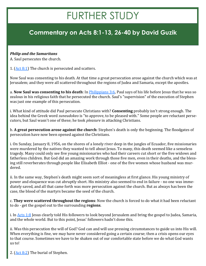## FURTHER STUDY

#### **Commentary on Acts 8:1-13, 26-40 by David Guzik**

#### *Philip and the Samaritans*

A. Saul persecutes the church.

1. [\(Act 8:1\)](https://www.blueletterbible.org/kjv/acts/8/1/s_1026001) The church is persecuted and scatters.

Now Saul was consenting to his death. At that time a great persecution arose against the church which was at Jerusalem; and they were all scattered throughout the regions of Judea and Samaria, except the apostles.

a. **Now Saul was consenting to his death**: In [Philippians 3:6,](https://www.blueletterbible.org/kjv/philippians/3/6/s_1106006) Paul says of his life before Jesus that he was so zealous in his religious faith that he persecuted the church. Saul's "supervision" of the execution of Stephen was just one example of this persecution.

i. What kind of attitude did Paul persecute Christians with? **Consenting** probably isn't strong enough. The idea behind the Greek word *suneudokeo* is "to approve, to be pleased with." Some people are reluctant persecutors, but Saul wasn't one of these; he took *pleasure* in attacking Christians.

b. **A great persecution arose against the church**: Stephen's death is only the beginning. The floodgates of persecution have now been opened against the Christians.

i. On Sunday, January 8, 1956, on the shores of a lonely river deep in the jungles of Ecuador, five missionaries were murdered by the natives they wanted to tell about Jesus. To many, this death seemed like a senseless tragedy. Many could only see five young missionaries who had their careers cut short or the five widows and fatherless children. But God did an amazing work through those five men, even in their deaths, and the blessing still reverberates through people like Elisabeth Elliot - one of the five women whose husband was murdered.

ii. In the same way, Stephen's death might seem sort of meaningless at first glance. His young ministry of power and eloquence was cut abruptly short. His ministry also seemed to end in failure - no one was immediately saved, and all that came forth was more persecution against the church. But as always has been the case, the blood of the martyrs became the seed of the church.

c. **They were scattered throughout the regions**: Now the church is forced to do what it had been reluctant to do - get the gospel out to the surrounding **regions**.

i. In [Acts 1:8](https://www.blueletterbible.org/kjv/acts/1/8/s_1019008) Jesus clearly told His followers to look beyond Jerusalem and bring the gospel to Judea, Samaria, and the whole world. But to this point, Jesus' followers hadn't done this.

ii. Was this persecution the will of God? God can and will use pressing circumstances to guide us into His will. When everything is fine, we may have never considered going a certain course; then a crisis opens our eyes to that course. Sometimes we have to be shaken out of our comfortable state before we do what God wants us to!

2. [\(Act 8:2\)](https://www.blueletterbible.org/kjv/acts/8/2/s_1026002) The burial of Stephen.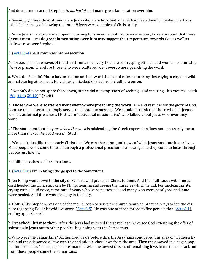And devout men carried Stephen *to his burial,* and made great lamentation over him.

a. Seemingly, these **devout men** were Jews who were horrified at what had been done to Stephen. Perhaps this is Luke's way of showing that not *all* Jews were enemies of Christianity.

b. Since Jewish law prohibited open mourning for someone that had been executed, Luke's account that these **devout men … made great lamentation over him** may suggest their repentance towards God as well as their sorrow over Stephen.

3. ([Act 8:3](https://www.blueletterbible.org/kjv/acts/8/3-4/s_1026003)-4) Saul continues his persecution.

As for Saul, he made havoc of the church, entering every house, and dragging off men and women, committing *them* to prison. Therefore those who were scattered went everywhere preaching the word.

a. What did Saul do? **Made havoc** uses an ancient word that could refer to an army destroying a city or a wild animal tearing at its meat. He viciously attacked Christians, including **women**.

i. "Not only did he not spare the women, but he did not stop short of seeking - and securing - his victims' death  $(9:1, 22:4, 26:10)$  $(9:1, 22:4, 26:10)$ ." (Stott)

b. **Those who were scattered went everywhere preaching the word**: The end result is for the glory of God, because the persecution simply serves to spread the message. We shouldn't think that those who left Jerusalem left as formal preachers. Most were "accidental missionaries" who talked about Jesus wherever they went.

i. "The statement that they *preached the word* is misleading; the Greek expression does not necessarily mean more than *shared the good news*." (Stott)

ii. We can be just like these early Christians! We can share the good news of what Jesus has done in our lives. Most people don't come to Jesus through a professional preacher or an evangelist; they come to Jesus through people just like us.

B. Philip preaches to the Samaritans.

1. ([Act 8:5](https://www.blueletterbible.org/kjv/acts/8/5-8/s_1026005)-8) Philip brings the gospel to the Samaritans.

Then Philip went down to the city of Samaria and preached Christ to them. And the multitudes with one accord heeded the things spoken by Philip, hearing and seeing the miracles which he did. For unclean spirits, crying with a loud voice, came out of many who were possessed; and many who were paralyzed and lame were healed. And there was great joy in that city.

a. **Philip**, like Stephen, was one of the men chosen to serve the church family in practical ways when the dispute regarding Hellenist widows arose ( $Acts 6:5$ ). He was one of those forced to flee persecution ( $Acts 8:1$ ), ending up in Samaria.

b. **Preached Christ to them**: After the Jews had rejected the gospel again, we see God extending the offer of salvation in Jesus out to other peoples, beginning with the Samaritans.

c. Who were the Samaritans? Six hundred years before this, the Assyrians conquered this area of northern Israel and they deported all the wealthy and middle-class Jews from the area. Then they moved in a pagan population from afar. These pagans intermarried with the lowest classes of remaining Jews in northern Israel, and from these people came the Samaritans.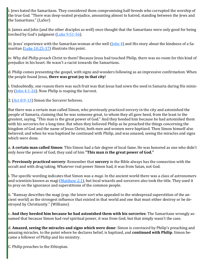i. Jews hated the Samaritans. They considered them compromising half-breeds who corrupted the worship of the true God. "There was deep-seated prejudice, amounting almost to hatred, standing between the Jews and the Samaritans." (LaSor)

ii. James and John (and the other disciples as well) once thought that the Samaritans were only good for being torched by God's judgment  $(Luke 9:51-56)$  $(Luke 9:51-56)$ .

iii. Jesus' experience with the Samaritan woman at the well  $(John 4)$  and His story about the kindness of a Sa-maritan ([Luke 10:25](https://www.blueletterbible.org/kjv/luke/10/25-37/s_983025)-37) illustrate this point.

iv. Why did Philip preach Christ to them? Because Jesus had touched Philip, there was no room for this kind of prejudice in his heart. He wasn't a racist towards the Samaritans.

d. Philip comes presenting the gospel, with signs and wonders following as an impressive confirmation: When the people found Jesus, **there was great joy in that city**!

i. Undoubtedly, one reason there was such fruit was that Jesus had sown the seed in Samaria during His ministry  $(John 4:1-26)$  $(John 4:1-26)$  $(John 4:1-26)$ . Now Philip is reaping the harvest.

2. ([Act 8:9](https://www.blueletterbible.org/kjv/acts/8/9-13/s_1026009)-13) Simon the Sorcerer believes.

But there was a certain man called Simon, who previously practiced sorcery in the city and astonished the people of Samaria, claiming that he was someone great, to whom they all gave heed, from the least to the greatest, saying, "This man is the great power of God." And they heeded him because he had astonished them with his sorceries for a long time. But when they believed Philip as he preached the things concerning the kingdom of God and the name of Jesus Christ, both men and women were baptized. Then Simon himself also believed; and when he was baptized he continued with Philip, and was amazed, seeing the miracles and signs which were done.

a. **A certain man called Simon**: This Simon had a fair degree of local fame. He was honored as one who didn't only *have* the power of God; they said of him **"This man** *is* **the great power of God."**

b. **Previously practiced sorcery**: Remember that **sorcery** in the Bible always has the connection with the occult and with drug taking. Whatever real power Simon had, it was from Satan, not God.

i. The specific wording indicates that Simon was a *magi*. In the ancient world there was a class of astronomers and scientists known as magi ([Matthew 2:1\)](https://www.blueletterbible.org/kjv/matthew/2/1/s_931001), but local wizards and sorcerers also took the title. They used it to prey on the ignorance and superstitions of the common people.

ii. "Ramsay describes the magi (esp. the lower sort who appealed to the widespread superstition of the ancient world) as the strongest influence that existed in that world and one that must either destroy or be destroyed by Christianity." (Williams)

c. **And they heeded him because he had astonished them with his sorceries**: The Samaritans wrongly assumed that because Simon had *real* spiritual power, it was from God; but that simply wasn't the case.

d. **Amazed, seeing the miracles and signs which were done**: Simon is convinced by Philip's preaching and amazing miracles, to the point where he declares belief, is baptized, and **continued with Philip**. Simon became a follower of Philip and his ministry.

C. Philip preaches to the Ethiopian.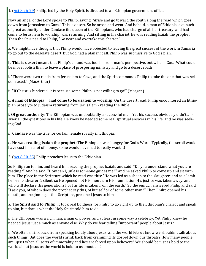1. ([Act 8:26](https://www.blueletterbible.org/kjv/acts/8/26-29/s_1026026)-29) Philip, led by the Holy Spirit, is directed to an Ethiopian government official.

Now an angel of the Lord spoke to Philip, saying, "Arise and go toward the south along the road which goes down from Jerusalem to Gaza." This is desert. So he arose and went. And behold, a man of Ethiopia, a eunuch of great authority under Candace the queen of the Ethiopians, who had charge of all her treasury, and had come to Jerusalem to worship, was returning. And sitting in his chariot, he was reading Isaiah the prophet. Then the Spirit said to Philip, "Go near and overtake this chariot."

a. We might have thought that Philip would have objected to leaving the great success of the work in Samaria to go out to the desolate desert, but God had a plan in it all. Philip was submissive to God's plan.

b. **This is desert** means that Philip's errand was foolish from man's perspective, but wise in God. What could be more foolish than to leave a place of prospering ministry and go to a desert road?

i. "There were two roads from Jerusalem to Gaza, and the Spirit commands Philip to take the one that was seldom used." (MacArthur)

ii. "If Christ is hindered, it is because some Philip is not willing to go!" (Morgan)

c. **A man of Ethiopia … had come to Jerusalem to worship**: On the desert road, Philip encountered an Ethiopian proselyte to Judaism returning from Jerusalem - reading the Bible!

i. **Of great authority**: The Ethiopian was undoubtedly a successful man. Yet his success obviously didn't answer all the questions in his life. He knew he needed some real spiritual answers in his life, and he was seeking God.

ii. **Candace** was the title for certain female royalty in Ethiopia.

d. **He was reading Isaiah the prophet**: The Ethiopian was hungry for God's Word. Typically, the scroll would have cost him a lot of money, so he would have had to really want it!

2.  $(Act 8:30-35)$  $(Act 8:30-35)$  $(Act 8:30-35)$  Philip preaches Jesus to the Ethiopian.

So Philip ran to him, and heard him reading the prophet Isaiah, and said, "Do you understand what you are reading?" And he said, "How can I, unless someone guides me?" And he asked Philip to come up and sit with him. The place in the Scripture which he read was this: "He was led as a sheep to the slaughter; and as a lamb before its shearer *is* silent, so He opened not His mouth. In His humiliation His justice was taken away, and who will declare His generation? For His life is taken from the earth." So the eunuch answered Philip and said, "I ask you, of whom does the prophet say this, of himself or of some other man?" Then Philip opened his mouth, and beginning at this Scripture, preached Jesus to him.

a. **The Spirit said to Philip**: It took real boldness for Philip to go right up to the Ethiopian's chariot and speak to him, but that is what the Holy Spirit told him to do.

i. The Ethiopian was a rich man, a man of power, and at least in some way a celebrity. Yet Philip knew he needed Jesus just a much as anyone else. Why do we fear telling "important" people about Jesus?

ii. We often shrink back from speaking boldly about Jesus, and the world lets us know we shouldn't talk about such things. But does the world shrink back from cramming its gospel down our throats? How many people are upset when all sorts of immorality and lies are forced upon believers? We should be just as bold to the world about Jesus as the world is bold to us about sin!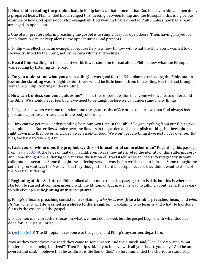b. **Heard him reading the prophet Isaiah**: Philip knew at that moment that God had given him an open door, a prepared heart. Plainly, God had arranged this meeting between Philip and the Ethiopian; this is a glorious example of how God opens doors for evangelism. God wouldn't have directed Philip unless God had already arranged an open door.

i. One of our greatest jobs in preaching the gospel is to simply pray for open doors. Then, having prayed for open doors, we must keep alert to the opportunities God presents.

ii. Philip was effective as an evangelist because he knew how to flow with what the Holy Spirit wanted to do. He was truly led by the Spirit, not by his own whims and feelings.

c. **Heard him reading**: In the ancient world, it was common to read aloud. Philip knew what the Ethiopian was reading by listening as he read.

d. **Do you understand what you are reading?** It was good for the Ethiopian to be reading the Bible, but unless **understanding** was brought to him, there would be little benefit from his reading. But God had brought someone (Philip) to bring understanding.

i. **How can I, unless someone guides me?** This is the proper question of anyone who wants to understand the Bible. We should never feel bad if we need to be taught before we can understand many things.

ii. It is glorious when we come to understand the great truths of Scripture on our own, but God always has a place and a purpose for teachers in the body of Christ.

iii. How can we get more understanding from our own time in the Bible? To get anything from our Bibles, we must plunge in. Butterflies wander over the flowers in the garden and accomplish nothing, but bees plunge right down into the flower, and carry away essential food. We won't get anything if we just hover over our Bibles; we have to dive right in.

e. **I ask you, of whom does the prophet say this, of himself or of some other man?** Regarding this passage from [Isaiah 53:7](https://www.blueletterbible.org/kjv/isaiah/53/7-8/s_732007)-8, the Jews of that day had different ways they interpreted the identity of this suffering servant. Some thought the suffering servant was the nation of Israel itself, as Israel had suffered greatly in wars, exile, and persecution. Some thought the suffering servant was Isaiah writing about himself. Some thought the suffering servant was the Messiah, but they thought this hard to accept, because they didn't want to think of the Messiah suffering.

f. **Beginning at this Scripture**: Philip talked about more than this passage from Isaiah, but this is where he started. He started at common ground with the Ethiopian, but made his way to talking about Jesus. It was easy to talk about Jesus **beginning at this Scripture**!

g. Philip's effective preaching consisted in explaining *who Jesus was* (**like a lamb … preached Jesus**) and *what He has done for us* (**He was led as a sheep to the slaughter**). Explaining who Jesus is and what He has done for us is the essence of the gospel.

i. Today, too many preachers focus on what we must do for God, but the gospel begins with what God has done for us in Jesus Christ.

3. ([Act 8:36](https://www.blueletterbible.org/kjv/acts/8/36-40/s_1026036)-40) The Ethiopian's response to the gospel and Philip's mysterious departure.

Now as they went down the road, they came to some water. And the eunuch said, "See, *here is* water. What hinders me from being baptized?" Then Philip said, "If you believe with all your heart, you may." And he answered and said, "I believe that Jesus Christ is the Son of God." So he commanded the chariot to stand still.